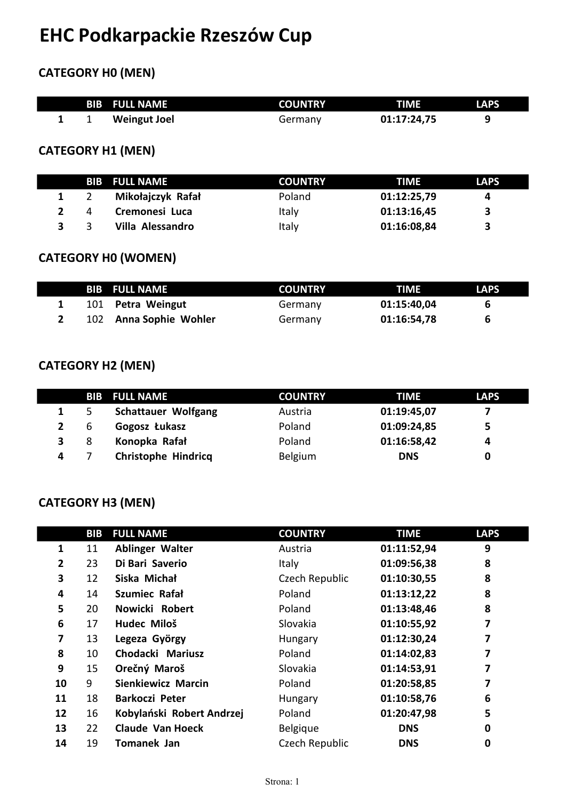# **EHC Podkarpackie Rzeszów Cup**

## **CATEGORY H0 (MEN)**

|              | <b>BIB FULL NAME</b> | <b>COUNTRY</b> | <b>LAPS</b><br><b>TIME</b> |  |
|--------------|----------------------|----------------|----------------------------|--|
| $\mathbf{L}$ | Weingut Joel         | Germany        | 01:17:24,75                |  |

#### **CATEGORY H1 (MEN)**

|              | <b>BIB FULL NAME</b> | <b>COUNTRY</b> | TIME        | <b>LAPS</b> |
|--------------|----------------------|----------------|-------------|-------------|
|              | Mikołajczyk Rafał    | Poland         | 01:12:25,79 | 4           |
| $\mathbf{z}$ | Cremonesi Luca       | Italy          | 01:13:16,45 | 3           |
|              | Villa Alessandro     | Italy          | 01:16:08,84 | 2           |

## **CATEGORY H0 (WOMEN)**

|  | <b>BIB FULL NAME</b>   | <b>COUNTRY</b> | TIME        | <b>LAPS</b> |
|--|------------------------|----------------|-------------|-------------|
|  | 101 Petra Weingut      | Germany        | 01:15:40,04 | ь           |
|  | 102 Anna Sophie Wohler | Germany        | 01:16:54,78 | b           |

## **CATEGORY H2 (MEN)**

|             |   | <b>BIB FULL NAME</b>       | <b>COUNTRY</b> | TIME        | <b>LAPS</b> |
|-------------|---|----------------------------|----------------|-------------|-------------|
|             | 5 | <b>Schattauer Wolfgang</b> | Austria        | 01:19:45,07 |             |
| $2^{\circ}$ | 6 | Gogosz Łukasz              | Poland         | 01:09:24,85 | 5           |
| 3           | 8 | Konopka Rafał              | Poland         | 01:16:58,42 | 4           |
| 4           |   | <b>Christophe Hindricq</b> | Belgium        | <b>DNS</b>  |             |

#### **CATEGORY H3 (MEN)**

|    | <b>BIB</b>      | <b>FULL NAME</b>          | <b>COUNTRY</b> | <b>TIME</b> | <b>LAPS</b> |
|----|-----------------|---------------------------|----------------|-------------|-------------|
| 1  | 11              | <b>Ablinger Walter</b>    | Austria        | 01:11:52,94 | 9           |
| 2  | 23              | Di Bari Saverio           | <b>Italy</b>   | 01:09:56,38 | 8           |
| 3  | 12              | Siska Michał              | Czech Republic | 01:10:30,55 | 8           |
| 4  | 14              | <b>Szumiec Rafał</b>      | Poland         | 01:13:12,22 | 8           |
| 5  | 20              | Nowicki Robert            | Poland         | 01:13:48,46 | 8           |
| 6  | 17              | Hudec Miloš               | Slovakia       | 01:10:55,92 | 7           |
| 7  | 13              | Legeza György             | Hungary        | 01:12:30,24 | 7           |
| 8  | 10              | Chodacki Mariusz          | Poland         | 01:14:02,83 | 7           |
| 9  | 15              | Orečný Maroš              | Slovakia       | 01:14:53,91 | 7           |
| 10 | 9               | <b>Sienkiewicz Marcin</b> | Poland         | 01:20:58,85 | 7           |
| 11 | 18              | <b>Barkoczi Peter</b>     | Hungary        | 01:10:58,76 | 6           |
| 12 | 16              | Kobylański Robert Andrzej | Poland         | 01:20:47,98 | 5           |
| 13 | 22 <sub>2</sub> | <b>Claude Van Hoeck</b>   | Belgique       | <b>DNS</b>  | 0           |
| 14 | 19              | Tomanek Jan               | Czech Republic | <b>DNS</b>  | $\bf{0}$    |